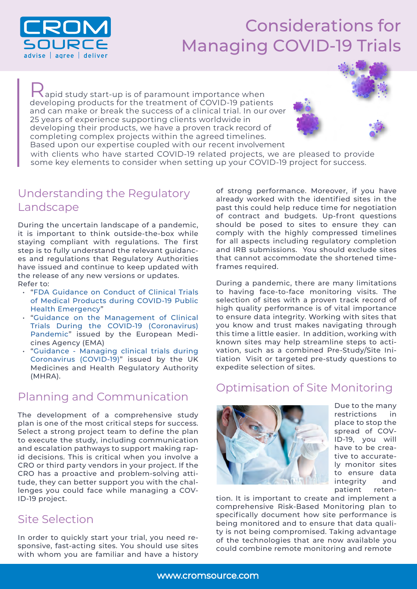

# Considerations for Managing COVID-19 Trials

Rapid study start-up is of paramount importance when developing products for the treatment of COVID-19 patients and can make or break the success of a clinical trial. In our over 25 years of experience supporting clients worldwide in developing their products, we have a proven track record of completing complex projects within the agreed timelines. Based upon our expertise coupled with our recent involvement

with clients who have started COVID-19 related projects, we are pleased to provide some key elements to consider when setting up your COVID-19 project for success.

#### Understanding the Regulatory Landscape

During the uncertain landscape of a pandemic, it is important to think outside-the-box while staying compliant with regulations. The first step is to fully understand the relevant guidances and regulations that Regulatory Authorities have issued and continue to keep updated with the release of any new versions or updates. Refer to:

- "[FDA Guidance on Conduct of Clinical Trials](https://www.fda.gov/regulatory-information/search-fda-guidance-documents/fda-guidance-conduct-clinical-trials-medical-products-during-covid-19-public-health-emergency) [of Medical Products during COVID-19 Public](https://www.fda.gov/regulatory-information/search-fda-guidance-documents/fda-guidance-conduct-clinical-trials-medical-products-during-covid-19-public-health-emergency) [Health Emergency"](https://www.fda.gov/regulatory-information/search-fda-guidance-documents/fda-guidance-conduct-clinical-trials-medical-products-during-covid-19-public-health-emergency)
- "[Guidance on the Management of Clinical](https://ec.europa.eu/health/sites/health/files/files/eudralex/vol-10/guidanceclinicaltrials_covid19_en.pdf) [Trials During the COVID-19 \(Coronavirus\)](https://ec.europa.eu/health/sites/health/files/files/eudralex/vol-10/guidanceclinicaltrials_covid19_en.pdf) [Pandemic](https://ec.europa.eu/health/sites/health/files/files/eudralex/vol-10/guidanceclinicaltrials_covid19_en.pdf)" issued by the European Medicines Agency (EMA)
- "[Guidance Managing clinical trials during](https://www.gov.uk/guidance/managing-clinical-trials-during-coronavirus-covid-19) [Coronavirus \(COVID-19\)](https://www.gov.uk/guidance/managing-clinical-trials-during-coronavirus-covid-19)" issued by the UK Medicines and Health Regulatory Authority (MHRA).

## Planning and Communication

The development of a comprehensive study plan is one of the most critical steps for success. Select a strong project team to define the plan to execute the study, including communication and escalation pathways to support making rapid decisions. This is critical when you involve a CRO or third party vendors in your project. If the CRO has a proactive and problem-solving attitude, they can better support you with the challenges you could face while managing a COV-ID-19 project.

## Site Selection

In order to quickly start your trial, you need responsive, fast-acting sites. You should use sites with whom you are familiar and have a history of strong performance. Moreover, if you have already worked with the identified sites in the past this could help reduce time for negotiation of contract and budgets. Up-front questions should be posed to sites to ensure they can comply with the highly compressed timelines for all aspects including regulatory completion and IRB submissions. You should exclude sites that cannot accommodate the shortened timeframes required.

During a pandemic, there are many limitations to having face-to-face monitoring visits. The selection of sites with a proven track record of high quality performance is of vital importance to ensure data integrity. Working with sites that you know and trust makes navigating through this time a little easier. In addition, working with known sites may help streamline steps to activation, such as a combined Pre-Study/Site Initiation Visit or targeted pre-study questions to expedite selection of sites.

#### Optimisation of Site Monitoring



Due to the many restrictions in place to stop the spread of COV-ID-19, you will have to be creative to accurately monitor sites to ensure data integrity and patient reten-

tion. It is important to create and implement a comprehensive Risk-Based Monitoring plan to specifically document how site performance is being monitored and to ensure that data quality is not being compromised. Taking advantage of the technologies that are now available you could combine remote monitoring and remote